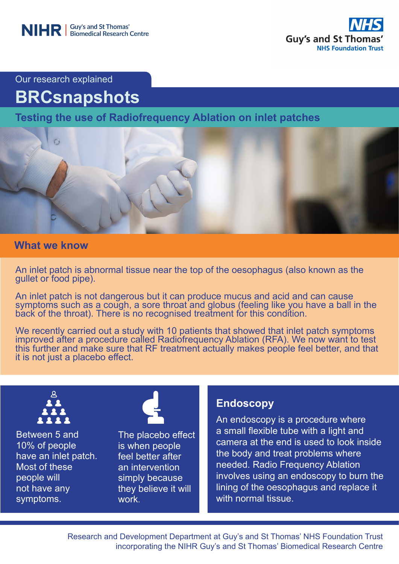

Our research explained

# **BRCsnapshots**

**Testing the use of Radiofrequency Ablation on inlet patches**



## **What we know**

An inlet patch is abnormal tissue near the top of the oesophagus (also known as the gullet or food pipe).

An inlet patch is not dangerous but it can produce mucus and acid and can cause symptoms such as a cough, a sore throat and globus (feeling like you have a ball in the back of the throat). There is no recognised treatment for this condition.

We recently carried out a study with 10 patients that showed that inlet patch symptoms improved after a procedure called Radiofrequency Ablation (RFA). We now want to test this further and make sure that RF treatment actually makes people feel better, and that it is not just a placebo effect.



Between 5 and 10% of people have an inlet patch. Most of these people will not have any symptoms.



The placebo effect is when people feel better after an intervention simply because they believe it will work.

# **Endoscopy**

An endoscopy is a procedure where a small flexible tube with a light and camera at the end is used to look inside the body and treat problems where needed. Radio Frequency Ablation involves using an endoscopy to burn the lining of the oesophagus and replace it with normal tissue.

Research and Development Department at Guy's and St Thomas' NHS Foundation Trust incorporating the NIHR Guy's and St Thomas' Biomedical Research Centre